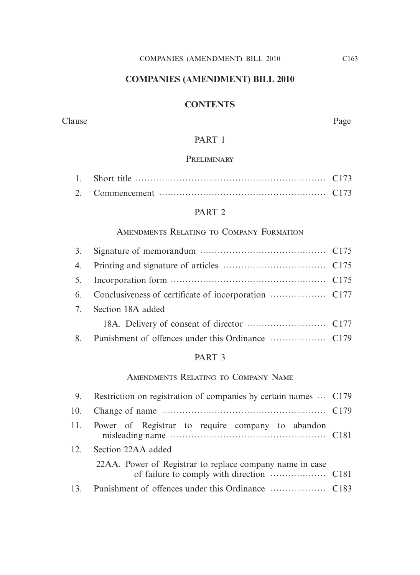# **COMPANIES (AMENDMENT) BILL 2010**

# **CONTENTS**

#### Clause Page

# PART 1

## **PRELIMINARY**

## PART<sub>2</sub>

## Amendments Relating to Company Formation

| 3. |                   |  |
|----|-------------------|--|
| 4. |                   |  |
|    |                   |  |
|    |                   |  |
| 7. | Section 18A added |  |
|    |                   |  |
| 8. |                   |  |

# PART 3

## Amendments Relating to Company Name

| 9.     | Restriction on registration of companies by certain names  C179 |  |
|--------|-----------------------------------------------------------------|--|
| 10.    |                                                                 |  |
|        | 11. Power of Registrar to require company to abandon            |  |
| $12 -$ | Section 22AA added                                              |  |
|        | 22AA. Power of Registrar to replace company name in case        |  |
| $13 -$ |                                                                 |  |
|        |                                                                 |  |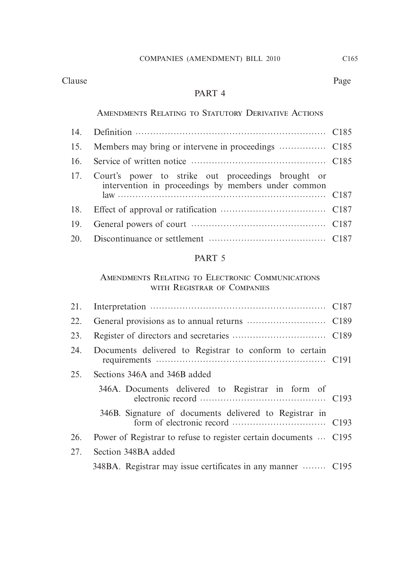Clause Page

# PART 4

## Amendments Relating to Statutory Derivative Actions

| 16. |                                                                                                               |  |
|-----|---------------------------------------------------------------------------------------------------------------|--|
|     | 17. Court's power to strike out proceedings brought or<br>intervention in proceedings by members under common |  |
|     |                                                                                                               |  |
| 19. |                                                                                                               |  |
|     |                                                                                                               |  |
|     |                                                                                                               |  |

# PART 5

## Amendments Relating to Electronic Communications with Registrar of Companies

| 21. |                                                                  |  |
|-----|------------------------------------------------------------------|--|
| 22. |                                                                  |  |
| 23. |                                                                  |  |
| 24. | Documents delivered to Registrar to conform to certain           |  |
| 25. | Sections 346A and 346B added                                     |  |
|     | 346A. Documents delivered to Registrar in form of                |  |
|     | 346B. Signature of documents delivered to Registrar in           |  |
| 26. | Power of Registrar to refuse to register certain documents  C195 |  |
| 27. | Section 348BA added                                              |  |
|     | 348BA. Registrar may issue certificates in any manner  C195      |  |
|     |                                                                  |  |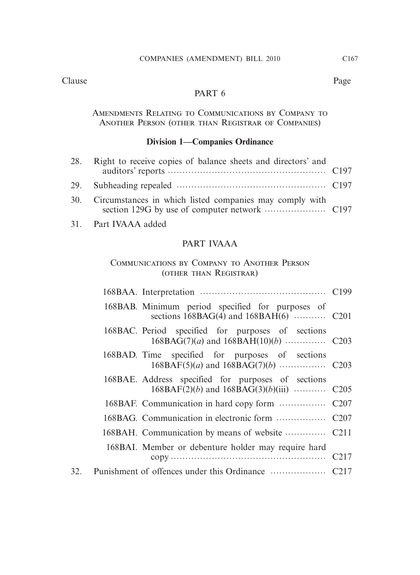# PART 6

Amendments Relating to Communications by Company to Another Person (other than Registrar of Companies)

## **Division 1—Companies Ordinance**

|     | Right to receive copies of balance sheets and directors' and |  |
|-----|--------------------------------------------------------------|--|
|     |                                                              |  |
| 30. | Circumstances in which listed companies may comply with      |  |

31. Part IVAAA added

## PART IVAAA

## Communications by Company to Another Person (other than Registrar)

|  | 168BAB. Minimum period specified for purposes of    |  |
|--|-----------------------------------------------------|--|
|  | 168BAC. Period specified for purposes of sections   |  |
|  | 168BAD. Time specified for purposes of sections     |  |
|  | 168BAE. Address specified for purposes of sections  |  |
|  |                                                     |  |
|  |                                                     |  |
|  |                                                     |  |
|  | 168BAI. Member or debenture holder may require hard |  |
|  |                                                     |  |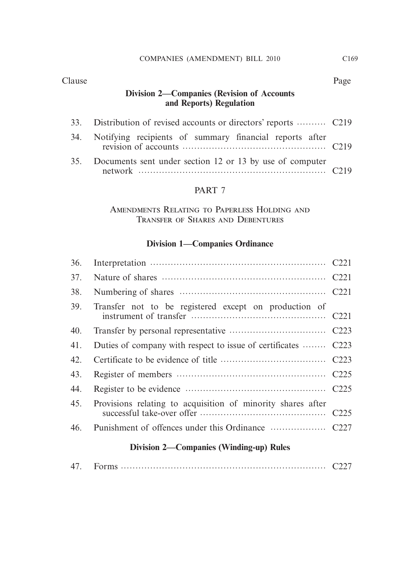## Clause Page

# **Division 2—Companies (Revision of Accounts and Reports) Regulation**

|     | 33. Distribution of revised accounts or directors' reports  C219 |  |
|-----|------------------------------------------------------------------|--|
| 34. | Notifying recipients of summary financial reports after          |  |
| 35. | Documents sent under section 12 or 13 by use of computer         |  |

# PART 7

Amendments Relating to Paperless Holding and Transfer of Shares and Debentures

# **Division 1—Companies Ordinance**

| 36. |                                                               |  |
|-----|---------------------------------------------------------------|--|
| 37. |                                                               |  |
| 38. |                                                               |  |
| 39. | Transfer not to be registered except on production of         |  |
| 40. |                                                               |  |
| 41. | Duties of company with respect to issue of certificates  C223 |  |
| 42. |                                                               |  |
| 43. |                                                               |  |
| 44. |                                                               |  |
| 45. | Provisions relating to acquisition of minority shares after   |  |
| 46. |                                                               |  |
|     | <b>Division 2—Companies (Winding-up) Rules</b>                |  |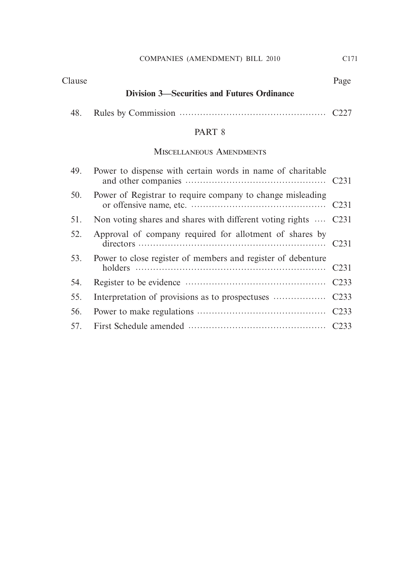## Clause Page

# **Division 3—Securities and Futures Ordinance**

|--|--|

# PART 8

## Miscellaneous Amendments

| 49. | Power to dispense with certain words in name of charitable      |  |
|-----|-----------------------------------------------------------------|--|
| 50. | Power of Registrar to require company to change misleading      |  |
| 51. | Non voting shares and shares with different voting rights  C231 |  |
| 52. | Approval of company required for allotment of shares by         |  |
| 53. | Power to close register of members and register of debenture    |  |
| 54. |                                                                 |  |
| 55. |                                                                 |  |
| 56. |                                                                 |  |
|     |                                                                 |  |
|     |                                                                 |  |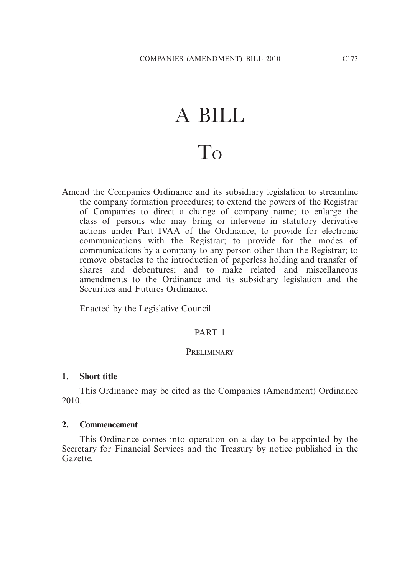# A BILL To

Amend the Companies Ordinance and its subsidiary legislation to streamline the company formation procedures; to extend the powers of the Registrar of Companies to direct a change of company name; to enlarge the class of persons who may bring or intervene in statutory derivative actions under Part IVAA of the Ordinance; to provide for electronic communications with the Registrar; to provide for the modes of communications by a company to any person other than the Registrar; to remove obstacles to the introduction of paperless holding and transfer of shares and debentures; and to make related and miscellaneous amendments to the Ordinance and its subsidiary legislation and the Securities and Futures Ordinance.

Enacted by the Legislative Council.

## PART 1

#### PRELIMINARY

#### **1. Short title**

 This Ordinance may be cited as the Companies (Amendment) Ordinance 2010.

#### **2. Commencement**

 This Ordinance comes into operation on a day to be appointed by the Secretary for Financial Services and the Treasury by notice published in the Gazette.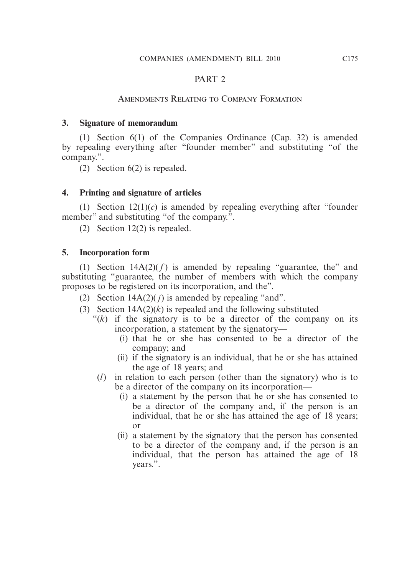## PART 2

## Amendments Relating to Company Formation

## **3. Signature of memorandum**

 (1) Section 6(1) of the Companies Ordinance (Cap. 32) is amended by repealing everything after "founder member" and substituting "of the company.".

(2) Section 6(2) is repealed.

## **4. Printing and signature of articles**

(1) Section  $12(1)(c)$  is amended by repealing everything after "founder" member" and substituting "of the company.".

(2) Section 12(2) is repealed.

### **5. Incorporation form**

(1) Section  $14A(2)(f)$  is amended by repealing "guarantee, the" and substituting "guarantee, the number of members with which the company proposes to be registered on its incorporation, and the".

- (2) Section  $14A(2)(j)$  is amended by repealing "and".
- (3) Section  $14A(2)(k)$  is repealed and the following substituted—
	- " $(k)$  if the signatory is to be a director of the company on its incorporation, a statement by the signatory—
		- (i) that he or she has consented to be a director of the company; and
		- (ii) if the signatory is an individual, that he or she has attained the age of 18 years; and
	- (*l*) in relation to each person (other than the signatory) who is to be a director of the company on its incorporation—
		- (i) a statement by the person that he or she has consented to be a director of the company and, if the person is an individual, that he or she has attained the age of 18 years; or
		- (ii) a statement by the signatory that the person has consented to be a director of the company and, if the person is an individual, that the person has attained the age of 18 years.".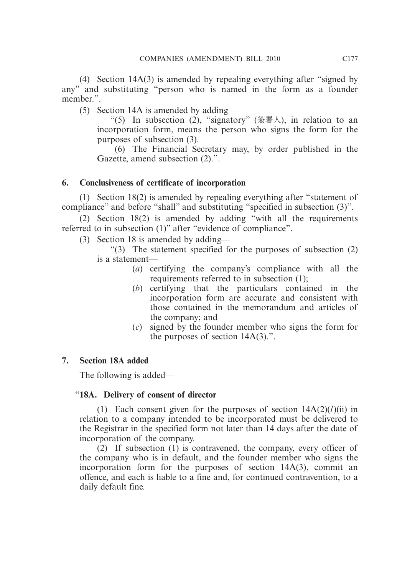(4) Section 14A(3) is amended by repealing everything after "signed by any" and substituting "person who is named in the form as a founder member.".

(5) Section 14A is amended by adding—

"(5) In subsection (2), "signatory" (簽署人), in relation to an incorporation form, means the person who signs the form for the purposes of subsection (3).

 (6) The Financial Secretary may, by order published in the Gazette, amend subsection (2).".

# **6. Conclusiveness of certificate of incorporation**

 (1) Section 18(2) is amended by repealing everything after "statement of compliance" and before "shall" and substituting "specified in subsection (3)".

 (2) Section 18(2) is amended by adding "with all the requirements referred to in subsection (1)" after "evidence of compliance".

(3) Section 18 is amended by adding—

 "(3) The statement specified for the purposes of subsection (2) is a statement—

- (*a*) certifying the company's compliance with all the requirements referred to in subsection (1);
- (*b*) certifying that the particulars contained in the incorporation form are accurate and consistent with those contained in the memorandum and articles of the company; and
- (*c*) signed by the founder member who signs the form for the purposes of section 14A(3).".

# **7. Section 18A added**

The following is added—

# "**18A. Delivery of consent of director**

(1) Each consent given for the purposes of section  $14A(2)(*l*)(ii)$  in relation to a company intended to be incorporated must be delivered to the Registrar in the specified form not later than 14 days after the date of incorporation of the company.

 $(2)$  If subsection  $(1)$  is contravened, the company, every officer of the company who is in default, and the founder member who signs the incorporation form for the purposes of section 14A(3), commit an offence, and each is liable to a fine and, for continued contravention, to a daily default fine.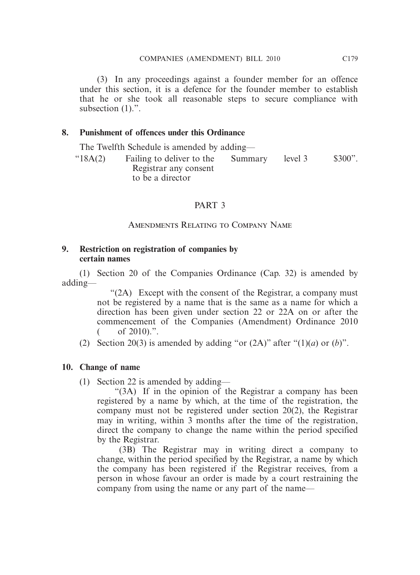(3) In any proceedings against a founder member for an offence under this section, it is a defence for the founder member to establish that he or she took all reasonable steps to secure compliance with subsection  $(1)$ .".

## **8. Punishment of offences under this Ordinance**

The Twelfth Schedule is amended by adding—

 "18A(2) Failing to deliver to the Registrar any consent to be a director Summary level 3 \$300".

## PART 3

Amendments Relating to Company Name

## **9. Restriction on registration of companies by certain names**

 (1) Section 20 of the Companies Ordinance (Cap. 32) is amended by adding—

> "(2A) Except with the consent of the Registrar, a company must not be registered by a name that is the same as a name for which a direction has been given under section 22 or 22A on or after the commencement of the Companies (Amendment) Ordinance 2010  $($  of 2010).".

(2) Section 20(3) is amended by adding "or  $(2A)$ " after " $(1)(a)$  or  $(b)$ ".

### **10. Change of name**

(1) Section 22 is amended by adding—

 "(3A) If in the opinion of the Registrar a company has been registered by a name by which, at the time of the registration, the company must not be registered under section 20(2), the Registrar may in writing, within 3 months after the time of the registration, direct the company to change the name within the period specified by the Registrar.

 (3B) The Registrar may in writing direct a company to change, within the period specified by the Registrar, a name by which the company has been registered if the Registrar receives, from a person in whose favour an order is made by a court restraining the company from using the name or any part of the name—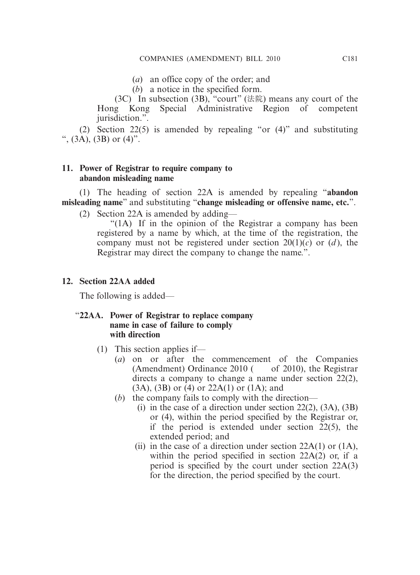- (*a*) an office copy of the order; and
- (*b*) a notice in the specified form.

(3C) In subsection (3B), "court" (法院) means any court of the Hong Kong Special Administrative Region of competent jurisdiction.".

 (2) Section 22(5) is amended by repealing "or (4)" and substituting ",  $(3\text{\AA})$ ,  $(3\text{\AA})$  or  $(4)$ ".

## **11. Power of Registrar to require company to abandon misleading name**

 (1) The heading of section 22A is amended by repealing "**abandon misleading name**" and substituting "**change misleading or offensive name, etc.**".

(2) Section 22A is amended by adding—

 "(1A) If in the opinion of the Registrar a company has been registered by a name by which, at the time of the registration, the company must not be registered under section  $20(1)(c)$  or  $(d)$ , the Registrar may direct the company to change the name.".

## **12. Section 22AA added**

The following is added—

### "**22AA. Power of Registrar to replace company name in case of failure to comply with direction**

- (1) This section applies if—
	- (*a*) on or after the commencement of the Companies (Amendment) Ordinance  $2010$  ( of 2010), the Registrar directs a company to change a name under section 22(2), (3A), (3B) or (4) or 22A(1) or (1A); and
	- (*b*) the company fails to comply with the direction—
		- (i) in the case of a direction under section 22(2), (3A), (3B) or (4), within the period specified by the Registrar or, if the period is extended under section 22(5), the extended period; and
		- (ii) in the case of a direction under section  $22A(1)$  or  $(1A)$ , within the period specified in section 22A(2) or, if a period is specified by the court under section 22A(3) for the direction, the period specified by the court.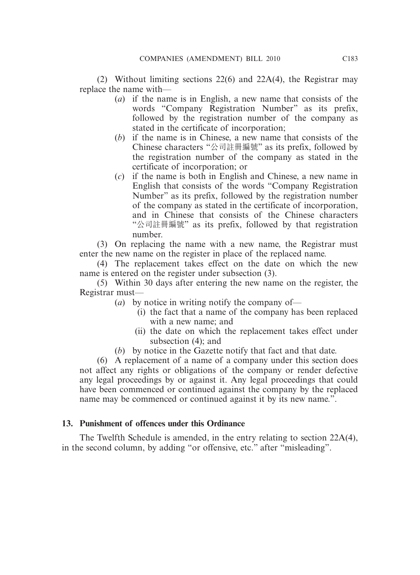(2) Without limiting sections 22(6) and 22A(4), the Registrar may replace the name with—

- (*a*) if the name is in English, a new name that consists of the words "Company Registration Number" as its prefix, followed by the registration number of the company as stated in the certificate of incorporation;
- (*b*) if the name is in Chinese, a new name that consists of the Chinese characters "公司註冊編號" as its prefix, followed by the registration number of the company as stated in the certificate of incorporation; or
- (*c*) if the name is both in English and Chinese, a new name in English that consists of the words "Company Registration Number" as its prefix, followed by the registration number of the company as stated in the certificate of incorporation, and in Chinese that consists of the Chinese characters "公司註冊編號" as its prefix, followed by that registration number.

 (3) On replacing the name with a new name, the Registrar must enter the new name on the register in place of the replaced name.

 (4) The replacement takes effect on the date on which the new name is entered on the register under subsection (3).

 (5) Within 30 days after entering the new name on the register, the Registrar must—

- (*a*) by notice in writing notify the company of—
	- (i) the fact that a name of the company has been replaced with a new name; and
	- (ii) the date on which the replacement takes effect under subsection (4); and
- (*b*) by notice in the Gazette notify that fact and that date.

 (6) A replacement of a name of a company under this section does not affect any rights or obligations of the company or render defective any legal proceedings by or against it. Any legal proceedings that could have been commenced or continued against the company by the replaced name may be commenced or continued against it by its new name.".

### **13. Punishment of offences under this Ordinance**

 The Twelfth Schedule is amended, in the entry relating to section 22A(4), in the second column, by adding "or offensive, etc." after "misleading".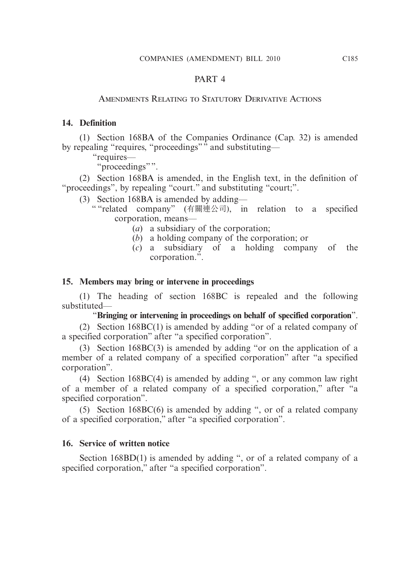## PART 4

## Amendments Relating to Statutory Derivative Actions

## **14. Definition**

 (1) Section 168BA of the Companies Ordinance (Cap. 32) is amended by repealing "requires, "proceedings" and substituting—

"requires—

"proceedings"".

 (2) Section 168BA is amended, in the English text, in the definition of "proceedings", by repealing "court." and substituting "court;".

- (3) Section 168BA is amended by adding—
	- " "related company" (有關連公司), in relation to a specified corporation, means—
		- (*a*) a subsidiary of the corporation;
		- (*b*) a holding company of the corporation; or
		- (*c*) a subsidiary of a holding company of the corporation.".

## **15. Members may bring or intervene in proceedings**

 (1) The heading of section 168BC is repealed and the following substituted—

" **Bringing or intervening in proceedings on behalf of specified corporation**".

 (2) Section 168BC(1) is amended by adding "or of a related company of a specified corporation" after "a specified corporation".

 (3) Section 168BC(3) is amended by adding "or on the application of a member of a related company of a specified corporation" after "a specified corporation".

 (4) Section 168BC(4) is amended by adding ", or any common law right of a member of a related company of a specified corporation," after "a specified corporation".

 (5) Section 168BC(6) is amended by adding ", or of a related company of a specified corporation," after "a specified corporation".

## **16. Service of written notice**

Section 168BD(1) is amended by adding ", or of a related company of a specified corporation," after "a specified corporation".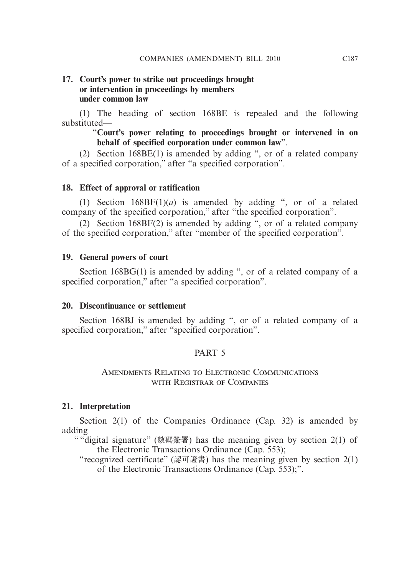## **17. Court's power to strike out proceedings brought or intervention in proceedings by members under common law**

 (1) The heading of section 168BE is repealed and the following substituted—

> " **Court's power relating to proceedings brought or intervened in on behalf of specified corporation under common law**".

 (2) Section 168BE(1) is amended by adding ", or of a related company of a specified corporation," after "a specified corporation".

### **18. Effect of approval or ratification**

 (1) Section 168BF(1)(*a*) is amended by adding ", or of a related company of the specified corporation," after "the specified corporation".

 (2) Section 168BF(2) is amended by adding ", or of a related company of the specified corporation," after "member of the specified corporation".

#### **19. General powers of court**

 Section 168BG(1) is amended by adding ", or of a related company of a specified corporation," after "a specified corporation".

#### **20. Discontinuance or settlement**

 Section 168BJ is amended by adding ", or of a related company of a specified corporation," after "specified corporation".

## PART 5

### Amendments Relating to Electronic Communications with Registrar of Companies

#### **21. Interpretation**

Section 2(1) of the Companies Ordinance (Cap. 32) is amended by adding—

" "digital signature" (數碼簽署) has the meaning given by section 2(1) of the Electronic Transactions Ordinance (Cap. 553);

"recognized certificate" (認可證書) has the meaning given by section 2(1) of the Electronic Transactions Ordinance (Cap. 553);".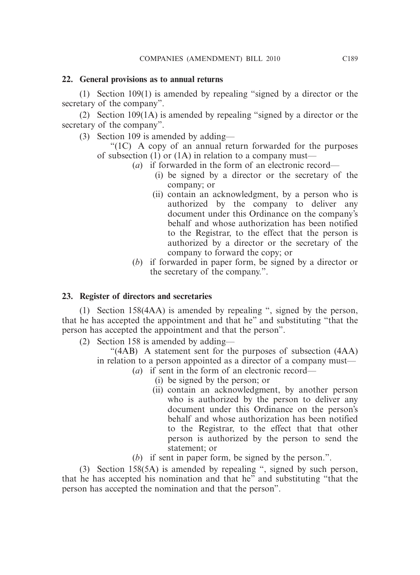## **22. General provisions as to annual returns**

 (1) Section 109(1) is amended by repealing "signed by a director or the secretary of the company".

 (2) Section 109(1A) is amended by repealing "signed by a director or the secretary of the company".

(3) Section 109 is amended by adding—

 "(1C) A copy of an annual return forwarded for the purposes of subsection (1) or (1A) in relation to a company must—

- (*a*) if forwarded in the form of an electronic record—
	- (i) be signed by a director or the secretary of the company; or
	- (ii) contain an acknowledgment, by a person who is authorized by the company to deliver any document under this Ordinance on the company's behalf and whose authorization has been notified to the Registrar, to the effect that the person is authorized by a director or the secretary of the company to forward the copy; or
- (*b*) if forwarded in paper form, be signed by a director or the secretary of the company.".

## **23. Register of directors and secretaries**

 (1) Section 158(4AA) is amended by repealing ", signed by the person, that he has accepted the appointment and that he" and substituting "that the person has accepted the appointment and that the person".

(2) Section 158 is amended by adding—

 "(4AB) A statement sent for the purposes of subsection (4AA) in relation to a person appointed as a director of a company must—

- (*a*) if sent in the form of an electronic record—
	- (i) be signed by the person; or
	- (ii) contain an acknowledgment, by another person who is authorized by the person to deliver any document under this Ordinance on the person's behalf and whose authorization has been notified to the Registrar, to the effect that that other person is authorized by the person to send the statement; or
- (*b*) if sent in paper form, be signed by the person.".

 (3) Section 158(5A) is amended by repealing ", signed by such person, that he has accepted his nomination and that he" and substituting "that the person has accepted the nomination and that the person".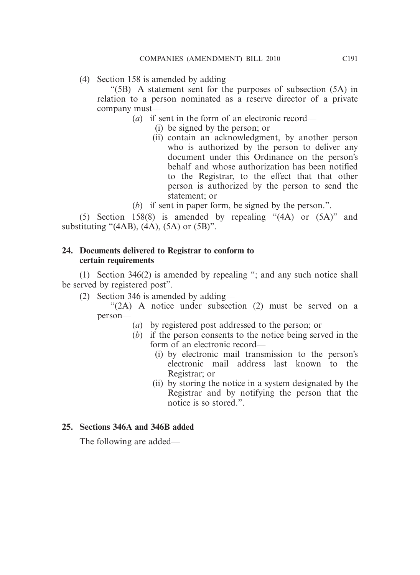(4) Section 158 is amended by adding—

 "(5B) A statement sent for the purposes of subsection (5A) in relation to a person nominated as a reserve director of a private company must—

(*a*) if sent in the form of an electronic record—

- (i) be signed by the person; or
- (ii) contain an acknowledgment, by another person who is authorized by the person to deliver any document under this Ordinance on the person's behalf and whose authorization has been notified to the Registrar, to the effect that that other person is authorized by the person to send the statement; or
- (*b*) if sent in paper form, be signed by the person.".

 (5) Section 158(8) is amended by repealing "(4A) or (5A)" and substituting " $(4AB)$ ,  $(4A)$ ,  $(5A)$  or  $(5B)$ ".

## **24. Documents delivered to Registrar to conform to certain requirements**

 (1) Section 346(2) is amended by repealing "; and any such notice shall be served by registered post".

(2) Section 346 is amended by adding—

 "(2A) A notice under subsection (2) must be served on a person—

- (*a*) by registered post addressed to the person; or
- (*b*) if the person consents to the notice being served in the form of an electronic record—
	- (i) by electronic mail transmission to the person's electronic mail address last known to the Registrar; or
	- (ii) by storing the notice in a system designated by the Registrar and by notifying the person that the notice is so stored.".

## **25. Sections 346A and 346B added**

The following are added—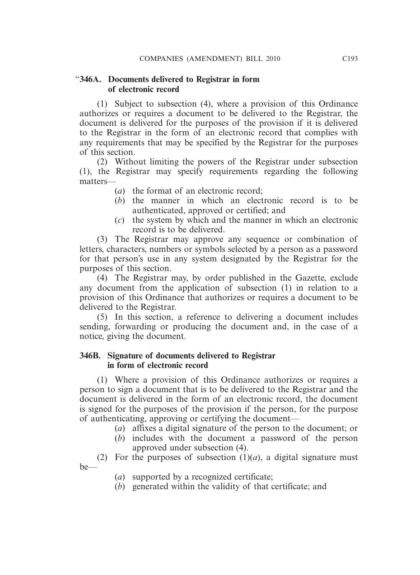## "**346A. Documents delivered to Registrar in form of electronic record**

 (1) Subject to subsection (4), where a provision of this Ordinance authorizes or requires a document to be delivered to the Registrar, the document is delivered for the purposes of the provision if it is delivered to the Registrar in the form of an electronic record that complies with any requirements that may be specified by the Registrar for the purposes of this section.

 (2) Without limiting the powers of the Registrar under subsection (1), the Registrar may specify requirements regarding the following matters—

- (*a*) the format of an electronic record;
- (*b*) the manner in which an electronic record is to be authenticated, approved or certified; and
- (*c*) the system by which and the manner in which an electronic record is to be delivered.

 (3) The Registrar may approve any sequence or combination of letters, characters, numbers or symbols selected by a person as a password for that person's use in any system designated by the Registrar for the purposes of this section.

 (4) The Registrar may, by order published in the Gazette, exclude any document from the application of subsection (1) in relation to a provision of this Ordinance that authorizes or requires a document to be delivered to the Registrar.

 (5) In this section, a reference to delivering a document includes sending, forwarding or producing the document and, in the case of a notice, giving the document.

## **346B. Signature of documents delivered to Registrar in form of electronic record**

 (1) Where a provision of this Ordinance authorizes or requires a person to sign a document that is to be delivered to the Registrar and the document is delivered in the form of an electronic record, the document is signed for the purposes of the provision if the person, for the purpose of authenticating, approving or certifying the document—

- (*a*) affixes a digital signature of the person to the document; or
- (*b*) includes with the document a password of the person approved under subsection (4).

(2) For the purposes of subsection  $(1)(a)$ , a digital signature must be—

- (*a*) supported by a recognized certificate;
- (*b*) generated within the validity of that certificate; and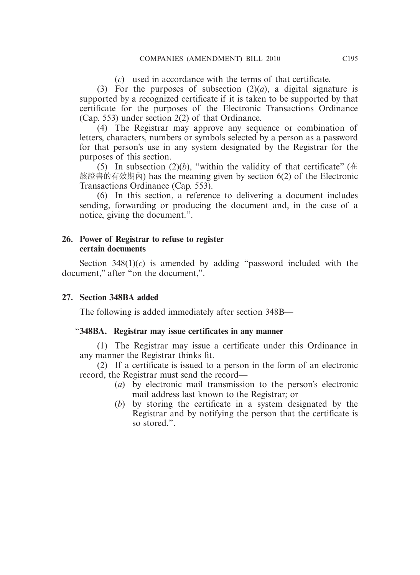(*c*) used in accordance with the terms of that certificate.

(3) For the purposes of subsection  $(2)(a)$ , a digital signature is supported by a recognized certificate if it is taken to be supported by that certificate for the purposes of the Electronic Transactions Ordinance (Cap. 553) under section 2(2) of that Ordinance.

 (4) The Registrar may approve any sequence or combination of letters, characters, numbers or symbols selected by a person as a password for that person's use in any system designated by the Registrar for the purposes of this section.

(5) In subsection (2)(*b*), "within the validity of that certificate" ( $\pm$ 該證書的有效期內) has the meaning given by section 6(2) of the Electronic Transactions Ordinance (Cap. 553).

 (6) In this section, a reference to delivering a document includes sending, forwarding or producing the document and, in the case of a notice, giving the document.".

## **26. Power of Registrar to refuse to register certain documents**

Section  $348(1)(c)$  is amended by adding "password included with the document," after "on the document,".

## **27. Section 348BA added**

The following is added immediately after section 348B—

## "**348BA. Registrar may issue certificates in any manner**

 (1) The Registrar may issue a certificate under this Ordinance in any manner the Registrar thinks fit.

 (2) If a certificate is issued to a person in the form of an electronic record, the Registrar must send the record—

- (*a*) by electronic mail transmission to the person's electronic mail address last known to the Registrar; or
- (*b*) by storing the certificate in a system designated by the Registrar and by notifying the person that the certificate is so stored.".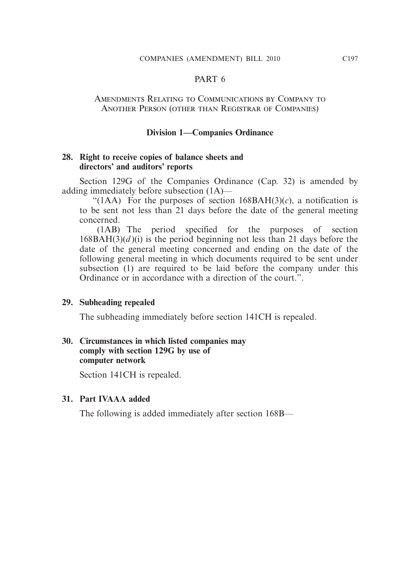#### PART<sub>6</sub>

#### Amendments Relating to Communications by Company to Another Person (other than Registrar of Companies)

#### **Division 1—Companies Ordinance**

#### **28. Right to receive copies of balance sheets and directors' and auditors' reports**

 Section 129G of the Companies Ordinance (Cap. 32) is amended by adding immediately before subsection (1A)—

"(1AA) For the purposes of section  $168BAH(3)(c)$ , a notification is to be sent not less than 21 days before the date of the general meeting concerned.

 (1AB) The period specified for the purposes of section  $168BAH(3)(d)$ (i) is the period beginning not less than 21 days before the date of the general meeting concerned and ending on the date of the following general meeting in which documents required to be sent under subsection (1) are required to be laid before the company under this Ordinance or in accordance with a direction of the court.".

#### **29. Subheading repealed**

The subheading immediately before section 141CH is repealed.

## **30. Circumstances in which listed companies may comply with section 129G by use of computer network**

Section 141CH is repealed.

### **31. Part IVAAA added**

The following is added immediately after section 168B—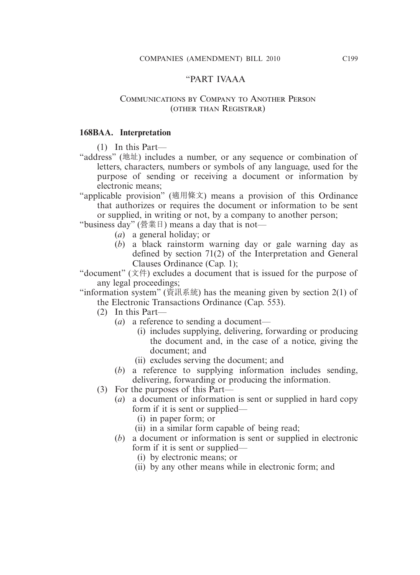#### "PART IVAAA

#### Communications by Company to Another Person (other than Registrar)

#### **168BAA. Interpretation**

(1) In this Part—

- "address" (地址) includes a number, or any sequence or combination of letters, characters, numbers or symbols of any language, used for the purpose of sending or receiving a document or information by electronic means;
- "applicable provision" (適用條文) means a provision of this Ordinance that authorizes or requires the document or information to be sent or supplied, in writing or not, by a company to another person;

"business day" (營業日) means a day that is not—

- (*a*) a general holiday; or
- (*b*) a black rainstorm warning day or gale warning day as defined by section 71(2) of the Interpretation and General Clauses Ordinance (Cap. 1);

"document" (文件) excludes a document that is issued for the purpose of any legal proceedings;

"information system" (資訊系統) has the meaning given by section 2(1) of the Electronic Transactions Ordinance (Cap. 553).

- (2) In this Part—
	- (*a*) a reference to sending a document—
		- (i) includes supplying, delivering, forwarding or producing the document and, in the case of a notice, giving the document; and
		- (ii) excludes serving the document; and
	- (*b*) a reference to supplying information includes sending, delivering, forwarding or producing the information.
- (3) For the purposes of this Part—
	- (*a*) a document or information is sent or supplied in hard copy form if it is sent or supplied—
		- (i) in paper form; or
		- (ii) in a similar form capable of being read;
	- (*b*) a document or information is sent or supplied in electronic form if it is sent or supplied—
		- (i) by electronic means; or
		- (ii) by any other means while in electronic form; and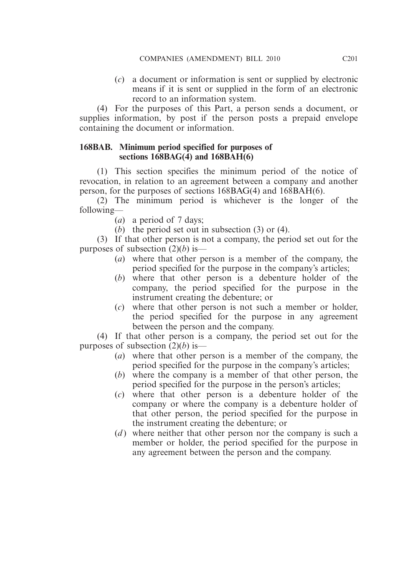(*c*) a document or information is sent or supplied by electronic means if it is sent or supplied in the form of an electronic record to an information system.

 (4) For the purposes of this Part, a person sends a document, or supplies information, by post if the person posts a prepaid envelope containing the document or information.

## **168BAB. Minimum period specified for purposes of sections 168BAG(4) and 168BAH(6)**

 (1) This section specifies the minimum period of the notice of revocation, in relation to an agreement between a company and another person, for the purposes of sections 168BAG(4) and 168BAH(6).

 (2) The minimum period is whichever is the longer of the following—

(*a*) a period of 7 days;

(*b*) the period set out in subsection (3) or (4).

 (3) If that other person is not a company, the period set out for the purposes of subsection (2)(*b*) is—

- (*a*) where that other person is a member of the company, the period specified for the purpose in the company's articles;
- (*b*) where that other person is a debenture holder of the company, the period specified for the purpose in the instrument creating the debenture; or
- (*c*) where that other person is not such a member or holder, the period specified for the purpose in any agreement between the person and the company.

 (4) If that other person is a company, the period set out for the purposes of subsection (2)(*b*) is—

- (*a*) where that other person is a member of the company, the period specified for the purpose in the company's articles;
- (*b*) where the company is a member of that other person, the period specified for the purpose in the person's articles;
- (*c*) where that other person is a debenture holder of the company or where the company is a debenture holder of that other person, the period specified for the purpose in the instrument creating the debenture; or
- (*d*) where neither that other person nor the company is such a member or holder, the period specified for the purpose in any agreement between the person and the company.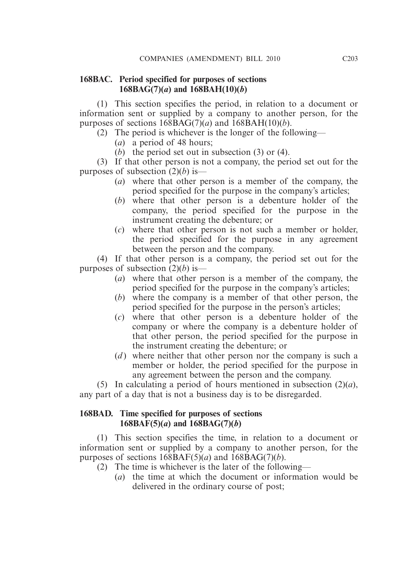## **168BAC. Period specified for purposes of sections**   $168BAG(7)(a)$  and  $168BAH(10)(b)$

 (1) This section specifies the period, in relation to a document or information sent or supplied by a company to another person, for the purposes of sections  $168BAG(7)(a)$  and  $168BAH(10)(b)$ .

- (2) The period is whichever is the longer of the following—
	- (*a*) a period of 48 hours;
	- (*b*) the period set out in subsection (3) or (4).

 (3) If that other person is not a company, the period set out for the purposes of subsection (2)(*b*) is—

- (*a*) where that other person is a member of the company, the period specified for the purpose in the company's articles;
- (*b*) where that other person is a debenture holder of the company, the period specified for the purpose in the instrument creating the debenture; or
- (*c*) where that other person is not such a member or holder, the period specified for the purpose in any agreement between the person and the company.

 (4) If that other person is a company, the period set out for the purposes of subsection (2)(*b*) is—

- (*a*) where that other person is a member of the company, the period specified for the purpose in the company's articles;
- (*b*) where the company is a member of that other person, the period specified for the purpose in the person's articles;
- (*c*) where that other person is a debenture holder of the company or where the company is a debenture holder of that other person, the period specified for the purpose in the instrument creating the debenture; or
- (*d*) where neither that other person nor the company is such a member or holder, the period specified for the purpose in any agreement between the person and the company.

 (5) In calculating a period of hours mentioned in subsection (2)(*a*), any part of a day that is not a business day is to be disregarded.

## **168BAD. Time specified for purposes of sections 168BAF(5)(***a***) and**  $\overline{168BAG(7)}$ **(***b***)**

 (1) This section specifies the time, in relation to a document or information sent or supplied by a company to another person, for the purposes of sections  $168BAF(5)(a)$  and  $168BAG(7)(b)$ .

- (2) The time is whichever is the later of the following—
	- (*a*) the time at which the document or information would be delivered in the ordinary course of post;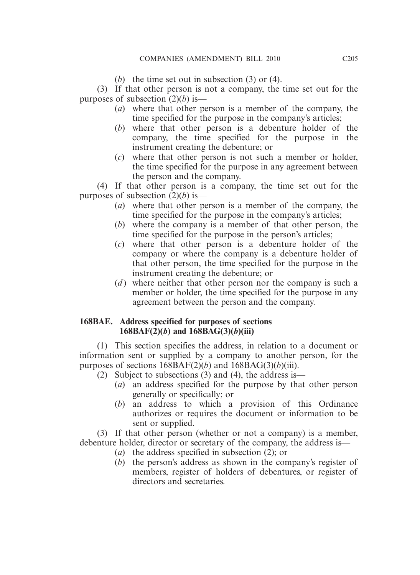(*b*) the time set out in subsection (3) or (4).

 (3) If that other person is not a company, the time set out for the purposes of subsection (2)(*b*) is—

- (*a*) where that other person is a member of the company, the time specified for the purpose in the company's articles;
- (*b*) where that other person is a debenture holder of the company, the time specified for the purpose in the instrument creating the debenture; or
- (*c*) where that other person is not such a member or holder, the time specified for the purpose in any agreement between the person and the company.

 (4) If that other person is a company, the time set out for the purposes of subsection (2)(*b*) is—

- (*a*) where that other person is a member of the company, the time specified for the purpose in the company's articles;
- (*b*) where the company is a member of that other person, the time specified for the purpose in the person's articles;
- (*c*) where that other person is a debenture holder of the company or where the company is a debenture holder of that other person, the time specified for the purpose in the instrument creating the debenture; or
- (*d*) where neither that other person nor the company is such a member or holder, the time specified for the purpose in any agreement between the person and the company.

## **168BAE. Address specified for purposes of sections 168BAF(2)(***b***) and 168BAG(3)(***b***)(iii)**

 (1) This section specifies the address, in relation to a document or information sent or supplied by a company to another person, for the purposes of sections  $168BAF(2)(b)$  and  $168BAG(3)(b)(iii)$ .

(2) Subject to subsections (3) and (4), the address is—

- (*a*) an address specified for the purpose by that other person generally or specifically; or
- (*b*) an address to which a provision of this Ordinance authorizes or requires the document or information to be sent or supplied.

 (3) If that other person (whether or not a company) is a member, debenture holder, director or secretary of the company, the address is—

- (*a*) the address specified in subsection (2); or
- (*b*) the person's address as shown in the company's register of members, register of holders of debentures, or register of directors and secretaries.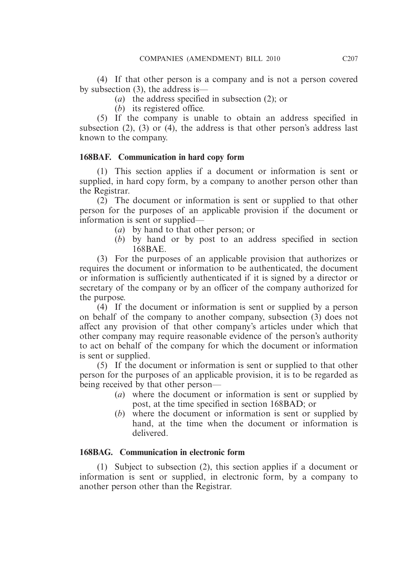(4) If that other person is a company and is not a person covered by subsection (3), the address is—

- (*a*) the address specified in subsection (2); or
- (*b*) its registered office.

 (5) If the company is unable to obtain an address specified in subsection (2), (3) or (4), the address is that other person's address last known to the company.

# **168BAF. Communication in hard copy form**

 (1) This section applies if a document or information is sent or supplied, in hard copy form, by a company to another person other than the Registrar.

 (2) The document or information is sent or supplied to that other person for the purposes of an applicable provision if the document or information is sent or supplied—

- (*a*) by hand to that other person; or
- (*b*) by hand or by post to an address specified in section 168BAE.

 (3) For the purposes of an applicable provision that authorizes or requires the document or information to be authenticated, the document or information is sufficiently authenticated if it is signed by a director or secretary of the company or by an officer of the company authorized for the purpose.

 (4) If the document or information is sent or supplied by a person on behalf of the company to another company, subsection (3) does not affect any provision of that other company's articles under which that other company may require reasonable evidence of the person's authority to act on behalf of the company for which the document or information is sent or supplied.

 (5) If the document or information is sent or supplied to that other person for the purposes of an applicable provision, it is to be regarded as being received by that other person—

- (*a*) where the document or information is sent or supplied by post, at the time specified in section 168BAD; or
- (*b*) where the document or information is sent or supplied by hand, at the time when the document or information is delivered.

# **168BAG. Communication in electronic form**

 (1) Subject to subsection (2), this section applies if a document or information is sent or supplied, in electronic form, by a company to another person other than the Registrar.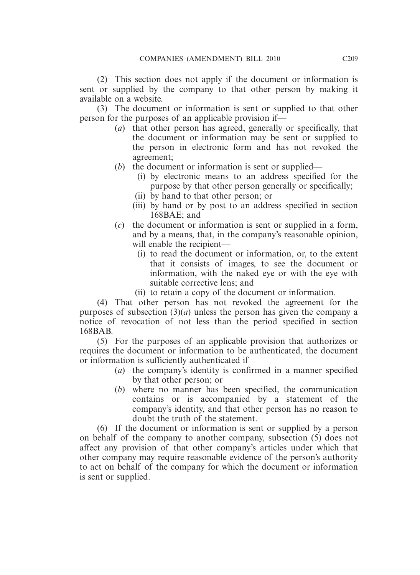(2) This section does not apply if the document or information is sent or supplied by the company to that other person by making it available on a website.

 (3) The document or information is sent or supplied to that other person for the purposes of an applicable provision if—

- (*a*) that other person has agreed, generally or specifically, that the document or information may be sent or supplied to the person in electronic form and has not revoked the agreement;
- (*b*) the document or information is sent or supplied—
	- (i) by electronic means to an address specified for the purpose by that other person generally or specifically;
	- (ii) by hand to that other person; or
	- (iii) by hand or by post to an address specified in section 168BAE; and
- (*c*) the document or information is sent or supplied in a form, and by a means, that, in the company's reasonable opinion, will enable the recipient—
	- (i) to read the document or information, or, to the extent that it consists of images, to see the document or information, with the naked eye or with the eye with suitable corrective lens; and
	- (ii) to retain a copy of the document or information.

 (4) That other person has not revoked the agreement for the purposes of subsection  $(3)(a)$  unless the person has given the company a notice of revocation of not less than the period specified in section 168BAB.

 (5) For the purposes of an applicable provision that authorizes or requires the document or information to be authenticated, the document or information is sufficiently authenticated if—

- (*a*) the company's identity is confirmed in a manner specified by that other person; or
- (*b*) where no manner has been specified, the communication contains or is accompanied by a statement of the company's identity, and that other person has no reason to doubt the truth of the statement.

 (6) If the document or information is sent or supplied by a person on behalf of the company to another company, subsection (5) does not affect any provision of that other company's articles under which that other company may require reasonable evidence of the person's authority to act on behalf of the company for which the document or information is sent or supplied.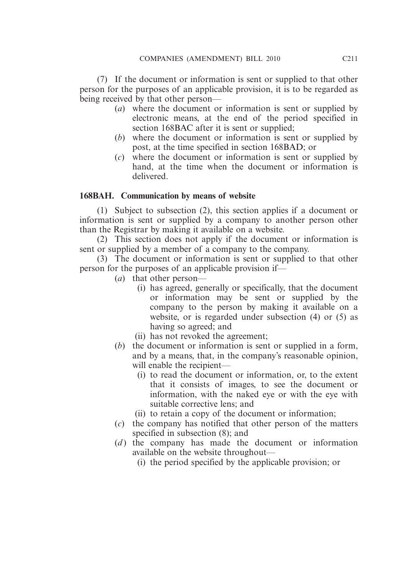(7) If the document or information is sent or supplied to that other person for the purposes of an applicable provision, it is to be regarded as being received by that other person—

- (*a*) where the document or information is sent or supplied by electronic means, at the end of the period specified in section 168BAC after it is sent or supplied;
- (*b*) where the document or information is sent or supplied by post, at the time specified in section 168BAD; or
- (*c*) where the document or information is sent or supplied by hand, at the time when the document or information is delivered.

## **168BAH. Communication by means of website**

 (1) Subject to subsection (2), this section applies if a document or information is sent or supplied by a company to another person other than the Registrar by making it available on a website.

 (2) This section does not apply if the document or information is sent or supplied by a member of a company to the company.

 (3) The document or information is sent or supplied to that other person for the purposes of an applicable provision if—

- (*a*) that other person—
	- (i) has agreed, generally or specifically, that the document or information may be sent or supplied by the company to the person by making it available on a website, or is regarded under subsection (4) or (5) as having so agreed; and
	- (ii) has not revoked the agreement;
- (*b*) the document or information is sent or supplied in a form, and by a means, that, in the company's reasonable opinion, will enable the recipient—
	- (i) to read the document or information, or, to the extent that it consists of images, to see the document or information, with the naked eye or with the eye with suitable corrective lens; and
	- (ii) to retain a copy of the document or information;
- (*c*) the company has notified that other person of the matters specified in subsection (8); and
- (*d*) the company has made the document or information available on the website throughout—
	- (i) the period specified by the applicable provision; or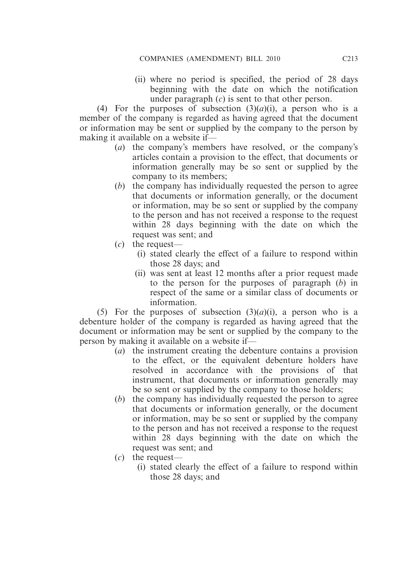(ii) where no period is specified, the period of 28 days beginning with the date on which the notification under paragraph (*c*) is sent to that other person.

(4) For the purposes of subsection  $(3)(a)(i)$ , a person who is a member of the company is regarded as having agreed that the document or information may be sent or supplied by the company to the person by making it available on a website if—

- (*a*) the company's members have resolved, or the company's articles contain a provision to the effect, that documents or information generally may be so sent or supplied by the company to its members;
- (*b*) the company has individually requested the person to agree that documents or information generally, or the document or information, may be so sent or supplied by the company to the person and has not received a response to the request within 28 days beginning with the date on which the request was sent; and
- (*c*) the request—
	- (i) stated clearly the effect of a failure to respond within those 28 days; and
	- (ii) was sent at least 12 months after a prior request made to the person for the purposes of paragraph (*b*) in respect of the same or a similar class of documents or information.

(5) For the purposes of subsection  $(3)(a)(i)$ , a person who is a debenture holder of the company is regarded as having agreed that the document or information may be sent or supplied by the company to the person by making it available on a website if—

- (*a*) the instrument creating the debenture contains a provision to the effect, or the equivalent debenture holders have resolved in accordance with the provisions of that instrument, that documents or information generally may be so sent or supplied by the company to those holders;
- (*b*) the company has individually requested the person to agree that documents or information generally, or the document or information, may be so sent or supplied by the company to the person and has not received a response to the request within 28 days beginning with the date on which the request was sent; and
- (*c*) the request—
	- (i) stated clearly the effect of a failure to respond within those 28 days; and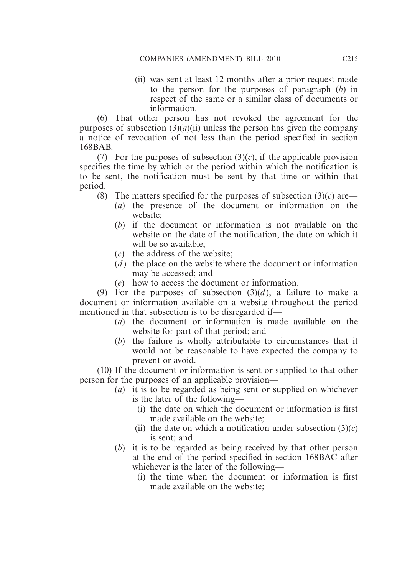(ii) was sent at least 12 months after a prior request made to the person for the purposes of paragraph (*b*) in respect of the same or a similar class of documents or information.

 (6) That other person has not revoked the agreement for the purposes of subsection  $(3)(a)(ii)$  unless the person has given the company a notice of revocation of not less than the period specified in section 168BAB.

(7) For the purposes of subsection  $(3)(c)$ , if the applicable provision specifies the time by which or the period within which the notification is to be sent, the notification must be sent by that time or within that period.

- (8) The matters specified for the purposes of subsection  $(3)(c)$  are—
	- (*a*) the presence of the document or information on the website;
	- (*b*) if the document or information is not available on the website on the date of the notification, the date on which it will be so available:
	- (*c*) the address of the website;
	- $(d)$  the place on the website where the document or information may be accessed; and
	- (*e*) how to access the document or information.

(9) For the purposes of subsection  $(3)(d)$ , a failure to make a document or information available on a website throughout the period mentioned in that subsection is to be disregarded if—

- (*a*) the document or information is made available on the website for part of that period; and
- (*b*) the failure is wholly attributable to circumstances that it would not be reasonable to have expected the company to prevent or avoid.

 (10) If the document or information is sent or supplied to that other person for the purposes of an applicable provision—

- (*a*) it is to be regarded as being sent or supplied on whichever is the later of the following—
	- (i) the date on which the document or information is first made available on the website;
	- (ii) the date on which a notification under subsection  $(3)(c)$ is sent; and
- (*b*) it is to be regarded as being received by that other person at the end of the period specified in section 168BAC after whichever is the later of the following—
	- (i) the time when the document or information is first made available on the website;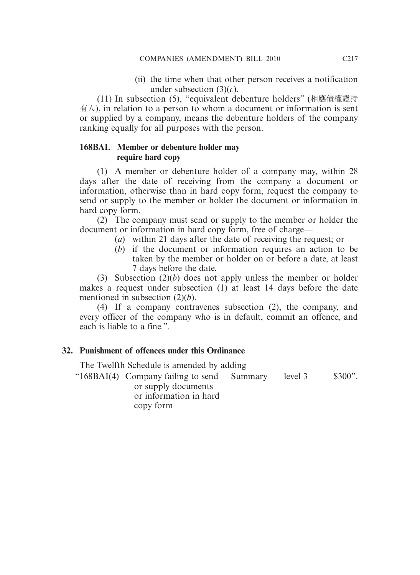(ii) the time when that other person receives a notification under subsection (3)(*c*).

 (11) In subsection (5), "equivalent debenture holders" (相應債權證持 有人), in relation to a person to whom a document or information is sent or supplied by a company, means the debenture holders of the company ranking equally for all purposes with the person.

# **168BAI. Member or debenture holder may require hard copy**

 (1) A member or debenture holder of a company may, within 28 days after the date of receiving from the company a document or information, otherwise than in hard copy form, request the company to send or supply to the member or holder the document or information in hard copy form.

 (2) The company must send or supply to the member or holder the document or information in hard copy form, free of charge—

- (*a*) within 21 days after the date of receiving the request; or
- (*b*) if the document or information requires an action to be taken by the member or holder on or before a date, at least 7 days before the date.

 (3) Subsection (2)(*b*) does not apply unless the member or holder makes a request under subsection (1) at least 14 days before the date mentioned in subsection (2)(*b*).

 (4) If a company contravenes subsection (2), the company, and every officer of the company who is in default, commit an offence, and each is liable to a fine.".

# **32. Punishment of offences under this Ordinance**

The Twelfth Schedule is amended by adding—

 "168BAI(4) Company failing to send or supply documents or information in hard Summary level 3 \$300".

copy form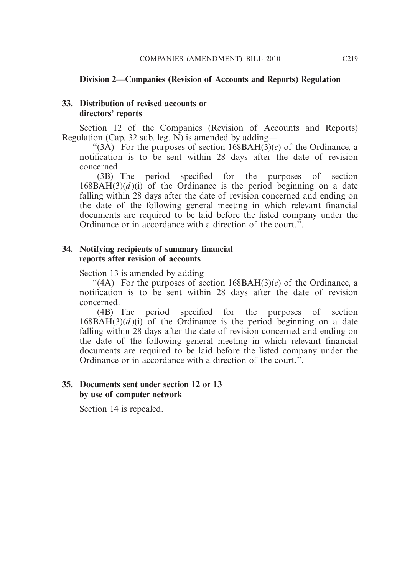### **Division 2—Companies (Revision of Accounts and Reports) Regulation**

#### **33. Distribution of revised accounts or directors' reports**

 Section 12 of the Companies (Revision of Accounts and Reports) Regulation (Cap. 32 sub. leg.  $\overline{N}$ ) is amended by adding—

"(3A) For the purposes of section  $168BAH(\overline{3})(c)$  of the Ordinance, a notification is to be sent within 28 days after the date of revision concerned.

 (3B) The period specified for the purposes of section  $168BAH(3)(d)(i)$  of the Ordinance is the period beginning on a date falling within 28 days after the date of revision concerned and ending on the date of the following general meeting in which relevant financial documents are required to be laid before the listed company under the Ordinance or in accordance with a direction of the court.".

## **34. Notifying recipients of summary financial reports after revision of accounts**

Section 13 is amended by adding—

"(4A) For the purposes of section  $168BAH(3)(c)$  of the Ordinance, a notification is to be sent within 28 days after the date of revision concerned.

 (4B) The period specified for the purposes of section  $168BAH(3)(d)(i)$  of the Ordinance is the period beginning on a date falling within 28 days after the date of revision concerned and ending on the date of the following general meeting in which relevant financial documents are required to be laid before the listed company under the Ordinance or in accordance with a direction of the court.".

#### **35. Documents sent under section 12 or 13 by use of computer network**

Section 14 is repealed.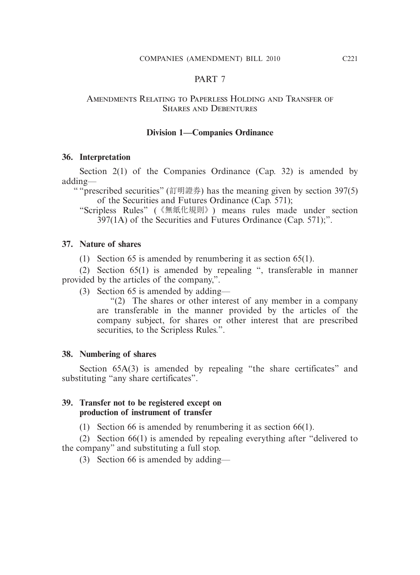#### PART 7

#### Amendments Relating to Paperless Holding and Transfer of Shares and Debentures

#### **Division 1—Companies Ordinance**

#### **36. Interpretation**

Section 2(1) of the Companies Ordinance (Cap. 32) is amended by adding—

" "prescribed securities" (訂明證券) has the meaning given by section 397(5) of the Securities and Futures Ordinance (Cap. 571);

"Scripless Rules" (《無紙化規則》) means rules made under section 397(1A) of the Securities and Futures Ordinance (Cap. 571);".

#### **37. Nature of shares**

(1) Section 65 is amended by renumbering it as section 65(1).

 (2) Section 65(1) is amended by repealing ", transferable in manner provided by the articles of the company,".

(3) Section 65 is amended by adding—

 "(2) The shares or other interest of any member in a company are transferable in the manner provided by the articles of the company subject, for shares or other interest that are prescribed securities, to the Scripless Rules.".

#### **38. Numbering of shares**

Section 65A(3) is amended by repealing "the share certificates" and substituting "any share certificates".

#### **39. Transfer not to be registered except on production of instrument of transfer**

(1) Section 66 is amended by renumbering it as section 66(1).

 (2) Section 66(1) is amended by repealing everything after "delivered to the company" and substituting a full stop.

(3) Section 66 is amended by adding—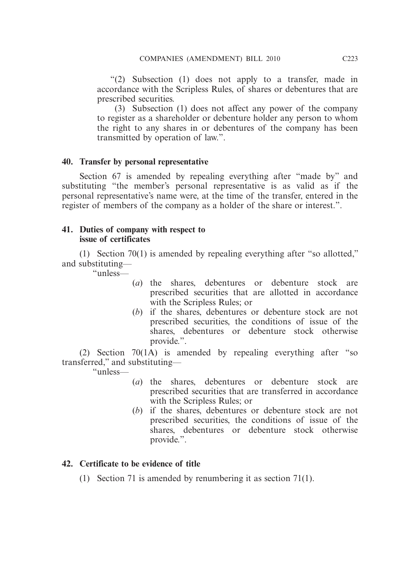"(2) Subsection (1) does not apply to a transfer, made in accordance with the Scripless Rules, of shares or debentures that are prescribed securities.

 (3) Subsection (1) does not affect any power of the company to register as a shareholder or debenture holder any person to whom the right to any shares in or debentures of the company has been transmitted by operation of law.".

# **40. Transfer by personal representative**

 Section 67 is amended by repealing everything after "made by" and substituting "the member's personal representative is as valid as if the personal representative's name were, at the time of the transfer, entered in the register of members of the company as a holder of the share or interest.".

## **41. Duties of company with respect to issue of certificates**

 (1) Section 70(1) is amended by repealing everything after "so allotted," and substituting—

"unless—

- (*a*) the shares, debentures or debenture stock are prescribed securities that are allotted in accordance with the Scripless Rules; or
- (*b*) if the shares, debentures or debenture stock are not prescribed securities, the conditions of issue of the shares, debentures or debenture stock otherwise provide.".

 (2) Section 70(1A) is amended by repealing everything after "so transferred," and substituting—

"unless—

- (*a*) the shares, debentures or debenture stock are prescribed securities that are transferred in accordance with the Scripless Rules; or
- (*b*) if the shares, debentures or debenture stock are not prescribed securities, the conditions of issue of the shares, debentures or debenture stock otherwise provide.".

# **42. Certificate to be evidence of title**

(1) Section 71 is amended by renumbering it as section 71(1).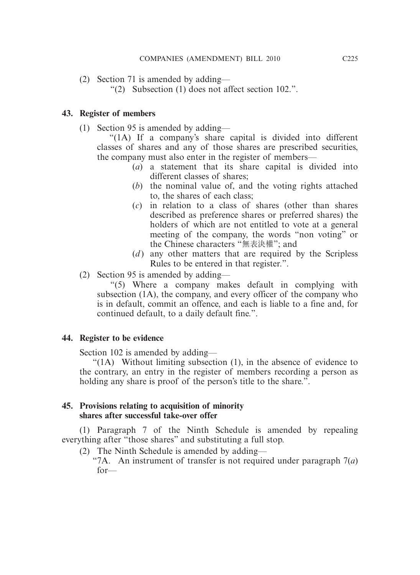(2) Section 71 is amended by adding—

"(2) Subsection (1) does not affect section 102.".

## **43. Register of members**

(1) Section 95 is amended by adding—

 "(1A) If a company's share capital is divided into different classes of shares and any of those shares are prescribed securities, the company must also enter in the register of members—

- (*a*) a statement that its share capital is divided into different classes of shares;
- (*b*) the nominal value of, and the voting rights attached to, the shares of each class;
- (*c*) in relation to a class of shares (other than shares described as preference shares or preferred shares) the holders of which are not entitled to vote at a general meeting of the company, the words "non voting" or the Chinese characters "無表決權"; and
- (*d*) any other matters that are required by the Scripless Rules to be entered in that register.".
- (2) Section 95 is amended by adding—

 "(5) Where a company makes default in complying with subsection (1A), the company, and every officer of the company who is in default, commit an offence, and each is liable to a fine and, for continued default, to a daily default fine.".

## **44. Register to be evidence**

Section 102 is amended by adding—

 "(1A) Without limiting subsection (1), in the absence of evidence to the contrary, an entry in the register of members recording a person as holding any share is proof of the person's title to the share.".

## **45. Provisions relating to acquisition of minority shares after successful take-over offer**

 (1) Paragraph 7 of the Ninth Schedule is amended by repealing everything after "those shares" and substituting a full stop.

- (2) The Ninth Schedule is amended by adding—
	- "7A. An instrument of transfer is not required under paragraph 7(*a*) for—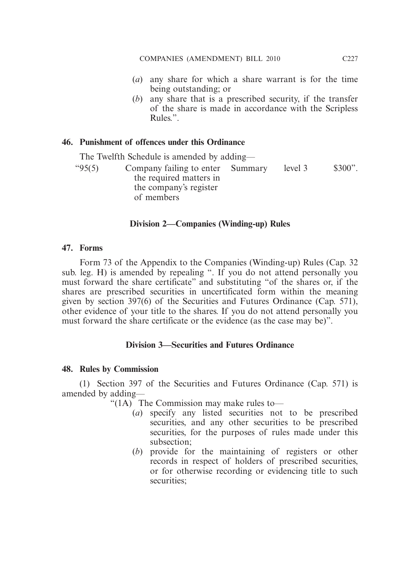- (*a*) any share for which a share warrant is for the time being outstanding; or
- (*b*) any share that is a prescribed security, if the transfer of the share is made in accordance with the Scripless Rules.".

## **46. Punishment of offences under this Ordinance**

The Twelfth Schedule is amended by adding—

 "95(5) Company failing to enter the required matters in the company's register of members Summary level 3 \$300".

# **Division 2—Companies (Winding-up) Rules**

## **47. Forms**

 Form 73 of the Appendix to the Companies (Winding-up) Rules (Cap. 32 sub. leg. H) is amended by repealing ". If you do not attend personally you must forward the share certificate" and substituting "of the shares or, if the shares are prescribed securities in uncertificated form within the meaning given by section 397(6) of the Securities and Futures Ordinance (Cap. 571), other evidence of your title to the shares. If you do not attend personally you must forward the share certificate or the evidence (as the case may be)".

## **Division 3—Securities and Futures Ordinance**

## **48. Rules by Commission**

 (1) Section 397 of the Securities and Futures Ordinance (Cap. 571) is amended by adding—

"(1A) The Commission may make rules to—

- (*a*) specify any listed securities not to be prescribed securities, and any other securities to be prescribed securities, for the purposes of rules made under this subsection;
- (*b*) provide for the maintaining of registers or other records in respect of holders of prescribed securities, or for otherwise recording or evidencing title to such securities;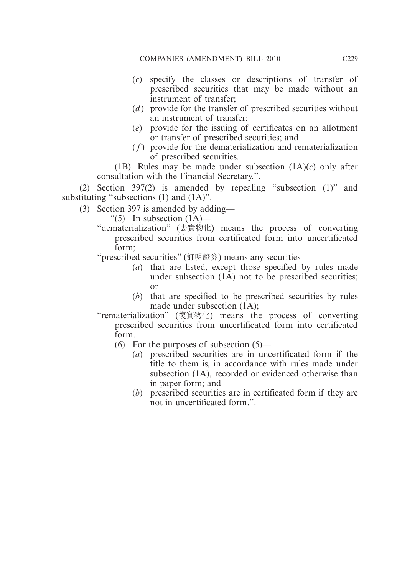- (*c*) specify the classes or descriptions of transfer of prescribed securities that may be made without an instrument of transfer;
- (*d*) provide for the transfer of prescribed securities without an instrument of transfer;
- (*e*) provide for the issuing of certificates on an allotment or transfer of prescribed securities; and
- ( *f* ) provide for the dematerialization and rematerialization of prescribed securities.

 (1B) Rules may be made under subsection (1A)(*c*) only after consultation with the Financial Secretary.".

 (2) Section 397(2) is amended by repealing "subsection (1)" and substituting "subsections (1) and (1A)".

(3) Section 397 is amended by adding—

" $(5)$  In subsection  $(1A)$ —

"dematerialization" (去實物化) means the process of converting prescribed securities from certificated form into uncertificated form;

"prescribed securities" (訂明證券) means any securities—

- (*a*) that are listed, except those specified by rules made under subsection  $(1\overline{A})$  not to be prescribed securities; or
- (*b*) that are specified to be prescribed securities by rules made under subsection (1A);
- "rematerialization" (復實物化) means the process of converting prescribed securities from uncertificated form into certificated form.
	- (6) For the purposes of subsection  $(5)$ 
		- (*a*) prescribed securities are in uncertificated form if the title to them is, in accordance with rules made under subsection (1A), recorded or evidenced otherwise than in paper form; and
		- (*b*) prescribed securities are in certificated form if they are not in uncertificated form.".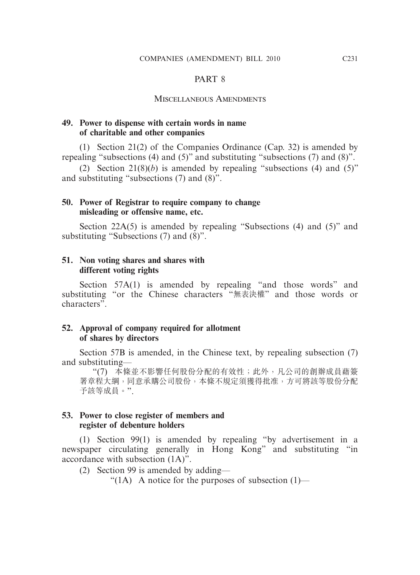#### PART 8

#### Miscellaneous Amendments

## **49. Power to dispense with certain words in name of charitable and other companies**

 (1) Section 21(2) of the Companies Ordinance (Cap. 32) is amended by repealing "subsections (4) and (5)" and substituting "subsections (7) and (8)".

(2) Section  $21(8)(b)$  is amended by repealing "subsections (4) and (5)" and substituting "subsections (7) and (8)".

## **50. Power of Registrar to require company to change misleading or offensive name, etc.**

Section 22A(5) is amended by repealing "Subsections (4) and (5)" and substituting "Subsections (7) and (8)".

## **51. Non voting shares and shares with different voting rights**

Section 57A(1) is amended by repealing "and those words" and substituting "or the Chinese characters "無表決權" and those words or characters".

#### **52. Approval of company required for allotment of shares by directors**

 Section 57B is amended, in the Chinese text, by repealing subsection (7) and substituting—

 "(7) 本條並不影響任何股份分配的有效性;此外,凡公司的創辦成員藉簽 署章程大綱,同意承購公司股份,本條不規定須獲得批准,方可將該等股份分配 予該等成員。".

#### **53. Power to close register of members and register of debenture holders**

 (1) Section 99(1) is amended by repealing "by advertisement in a newspaper circulating generally in Hong Kong" and substituting "in accordance with subsection (1A)".

(2) Section 99 is amended by adding—

" $(1)$  A notice for the purposes of subsection  $(1)$ —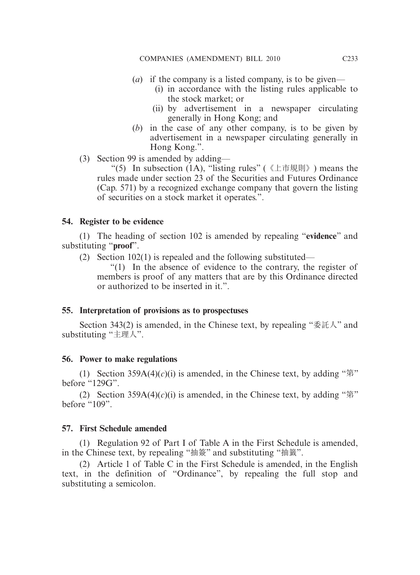- (*a*) if the company is a listed company, is to be given—
	- (i) in accordance with the listing rules applicable to the stock market; or
	- (ii) by advertisement in a newspaper circulating generally in Hong Kong; and
- (*b*) in the case of any other company, is to be given by advertisement in a newspaper circulating generally in Hong Kong.".
- (3) Section 99 is amended by adding—

"(5) In subsection  $(1A)$ , "listing rules" (《上市規則》) means the rules made under section 23 of the Securities and Futures Ordinance (Cap. 571) by a recognized exchange company that govern the listing of securities on a stock market it operates.".

## **54. Register to be evidence**

 (1) The heading of section 102 is amended by repealing "**evidence**" and substituting "**proof**".

(2) Section 102(1) is repealed and the following substituted—

 "(1) In the absence of evidence to the contrary, the register of members is proof of any matters that are by this Ordinance directed or authorized to be inserted in it.".

## **55. Interpretation of provisions as to prospectuses**

Section 343(2) is amended, in the Chinese text, by repealing "委託人" and substituting "主理人".

## **56. Power to make regulations**

(1) Section  $359A(4)(c)(i)$  is amended, in the Chinese text, by adding " $\frac{25}{7}$ " before "129G".

(2) Section  $359A(4)(c)(i)$  is amended, in the Chinese text, by adding " $\frac{2}{3}$ " before "109".

### **57. First Schedule amended**

 (1) Regulation 92 of Part I of Table A in the First Schedule is amended, in the Chinese text, by repealing "抽簽" and substituting "抽籤".

 (2) Article 1 of Table C in the First Schedule is amended, in the English text, in the definition of "Ordinance", by repealing the full stop and substituting a semicolon.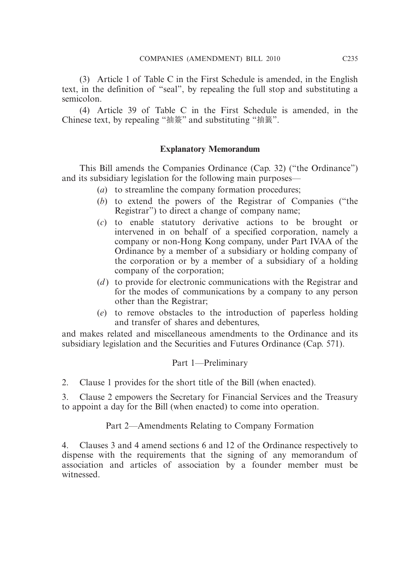(3) Article 1 of Table C in the First Schedule is amended, in the English text, in the definition of "seal", by repealing the full stop and substituting a semicolon.

 (4) Article 39 of Table C in the First Schedule is amended, in the Chinese text, by repealing "抽簽" and substituting "抽籤".

# **Explanatory Memorandum**

 This Bill amends the Companies Ordinance (Cap. 32) ("the Ordinance") and its subsidiary legislation for the following main purposes—

- (*a*) to streamline the company formation procedures;
- (*b*) to extend the powers of the Registrar of Companies ("the Registrar") to direct a change of company name;
- (*c*) to enable statutory derivative actions to be brought or intervened in on behalf of a specified corporation, namely a company or non-Hong Kong company, under Part IVAA of the Ordinance by a member of a subsidiary or holding company of the corporation or by a member of a subsidiary of a holding company of the corporation;
- (*d*) to provide for electronic communications with the Registrar and for the modes of communications by a company to any person other than the Registrar;
- (*e*) to remove obstacles to the introduction of paperless holding and transfer of shares and debentures,

and makes related and miscellaneous amendments to the Ordinance and its subsidiary legislation and the Securities and Futures Ordinance (Cap. 571).

# Part 1—Preliminary

2. Clause 1 provides for the short title of the Bill (when enacted).

3. Clause 2 empowers the Secretary for Financial Services and the Treasury to appoint a day for the Bill (when enacted) to come into operation.

Part 2—Amendments Relating to Company Formation

4. Clauses 3 and 4 amend sections 6 and 12 of the Ordinance respectively to dispense with the requirements that the signing of any memorandum of association and articles of association by a founder member must be witnessed.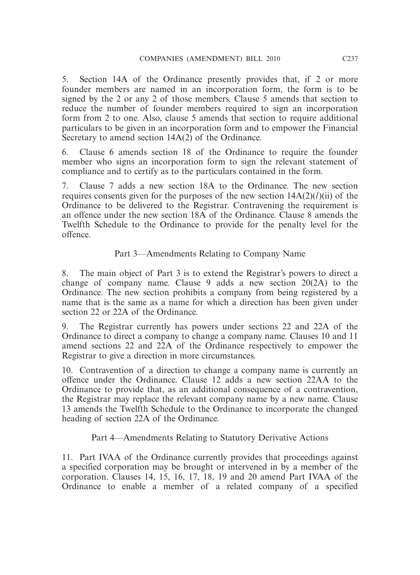5. Section 14A of the Ordinance presently provides that, if 2 or more founder members are named in an incorporation form, the form is to be signed by the 2 or any 2 of those members. Clause 5 amends that section to reduce the number of founder members required to sign an incorporation form from 2 to one. Also, clause 5 amends that section to require additional particulars to be given in an incorporation form and to empower the Financial Secretary to amend section  $14A(2)$  of the Ordinance.

6. Clause 6 amends section 18 of the Ordinance to require the founder member who signs an incorporation form to sign the relevant statement of compliance and to certify as to the particulars contained in the form.

7. Clause 7 adds a new section 18A to the Ordinance. The new section requires consents given for the purposes of the new section  $14A(2)(*l*)(ii)$  of the Ordinance to be delivered to the Registrar. Contravening the requirement is an offence under the new section 18A of the Ordinance. Clause 8 amends the Twelfth Schedule to the Ordinance to provide for the penalty level for the offence.

Part 3—Amendments Relating to Company Name

8. The main object of Part 3 is to extend the Registrar's powers to direct a change of company name. Clause 9 adds a new section 20(2A) to the Ordinance. The new section prohibits a company from being registered by a name that is the same as a name for which a direction has been given under section 22 or 22A of the Ordinance.

9. The Registrar currently has powers under sections 22 and 22A of the Ordinance to direct a company to change a company name. Clauses 10 and 11 amend sections 22 and 22A of the Ordinance respectively to empower the Registrar to give a direction in more circumstances.

10. Contravention of a direction to change a company name is currently an offence under the Ordinance. Clause 12 adds a new section 22AA to the Ordinance to provide that, as an additional consequence of a contravention, the Registrar may replace the relevant company name by a new name. Clause 13 amends the Twelfth Schedule to the Ordinance to incorporate the changed heading of section 22A of the Ordinance.

Part 4—Amendments Relating to Statutory Derivative Actions

11. Part IVAA of the Ordinance currently provides that proceedings against a specified corporation may be brought or intervened in by a member of the corporation. Clauses 14, 15, 16, 17, 18, 19 and 20 amend Part IVAA of the Ordinance to enable a member of a related company of a specified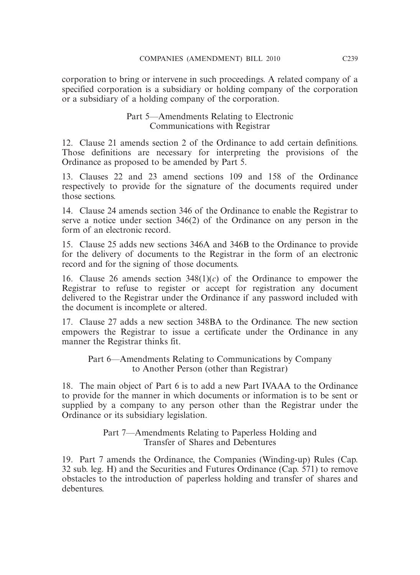corporation to bring or intervene in such proceedings. A related company of a specified corporation is a subsidiary or holding company of the corporation or a subsidiary of a holding company of the corporation.

## Part 5—Amendments Relating to Electronic Communications with Registrar

12. Clause 21 amends section 2 of the Ordinance to add certain definitions. Those definitions are necessary for interpreting the provisions of the Ordinance as proposed to be amended by Part 5.

13. Clauses 22 and 23 amend sections 109 and 158 of the Ordinance respectively to provide for the signature of the documents required under those sections.

14. Clause 24 amends section 346 of the Ordinance to enable the Registrar to serve a notice under section 346(2) of the Ordinance on any person in the form of an electronic record.

15. Clause 25 adds new sections 346A and 346B to the Ordinance to provide for the delivery of documents to the Registrar in the form of an electronic record and for the signing of those documents.

16. Clause 26 amends section 348(1)(*c*) of the Ordinance to empower the Registrar to refuse to register or accept for registration any document delivered to the Registrar under the Ordinance if any password included with the document is incomplete or altered.

17. Clause 27 adds a new section 348BA to the Ordinance. The new section empowers the Registrar to issue a certificate under the Ordinance in any manner the Registrar thinks fit.

Part 6—Amendments Relating to Communications by Company to Another Person (other than Registrar)

18. The main object of Part 6 is to add a new Part IVAAA to the Ordinance to provide for the manner in which documents or information is to be sent or supplied by a company to any person other than the Registrar under the Ordinance or its subsidiary legislation.

> Part 7—Amendments Relating to Paperless Holding and Transfer of Shares and Debentures

19. Part 7 amends the Ordinance, the Companies (Winding-up) Rules (Cap. 32 sub. leg. H) and the Securities and Futures Ordinance (Cap. 571) to remove obstacles to the introduction of paperless holding and transfer of shares and debentures.